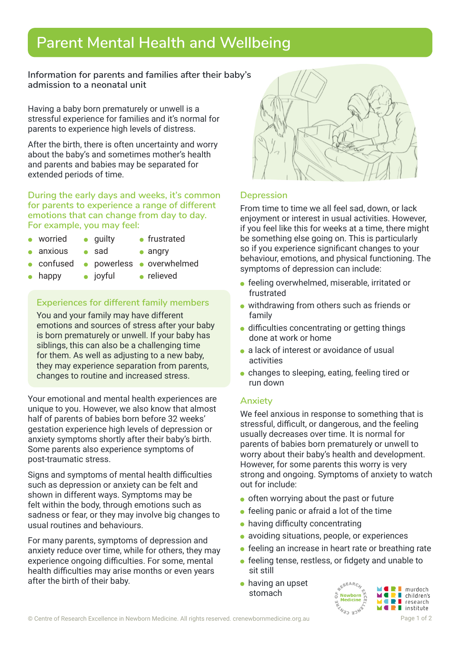# **Parent Mental Health and Wellbeing**

**Information for parents and families after their baby's admission to a neonatal unit**

Having a baby born prematurely or unwell is a stressful experience for families and it's normal for parents to experience high levels of distress.

After the birth, there is often uncertainty and worry about the baby's and sometimes mother's health and parents and babies may be separated for extended periods of time.

**During the early days and weeks, it's common for parents to experience a range of different emotions that can change from day to day. For example, you may feel:**

- worried quilty frustrated
	- anxious sad angry
- 
- 
- confused **•** powerless overwhelmed
- happy o joyful o relieved

## **Experiences for different family members**

You and your family may have different emotions and sources of stress after your baby is born prematurely or unwell. If your baby has siblings, this can also be a challenging time for them. As well as adjusting to a new baby, they may experience separation from parents, changes to routine and increased stress.

Your emotional and mental health experiences are unique to you. However, we also know that almost half of parents of babies born before 32 weeks' gestation experience high levels of depression or anxiety symptoms shortly after their baby's birth. Some parents also experience symptoms of post-traumatic stress.

Signs and symptoms of mental health difficulties such as depression or anxiety can be felt and shown in different ways. Symptoms may be felt within the body, through emotions such as sadness or fear, or they may involve big changes to usual routines and behaviours.

For many parents, symptoms of depression and anxiety reduce over time, while for others, they may experience ongoing difficulties. For some, mental health difficulties may arise months or even years after the birth of their baby.



# **Depression**

From time to time we all feel sad, down, or lack enjoyment or interest in usual activities. However, if you feel like this for weeks at a time, there might be something else going on. This is particularly so if you experience significant changes to your behaviour, emotions, and physical functioning. The symptoms of depression can include:

- **•** feeling overwhelmed, miserable, irritated or frustrated
- withdrawing from others such as friends or family
- **•** difficulties concentrating or getting things done at work or home
- a lack of interest or avoidance of usual activities
- **c** changes to sleeping, eating, feeling tired or run down

#### **Anxiety**

We feel anxious in response to something that is stressful, difficult, or dangerous, and the feeling usually decreases over time. It is normal for parents of babies born prematurely or unwell to worry about their baby's health and development. However, for some parents this worry is very strong and ongoing. Symptoms of anxiety to watch out for include:

- $\bullet$  often worrying about the past or future
- **•** feeling panic or afraid a lot of the time
- having difficulty concentrating
- avoiding situations, people, or experiences
- **•** feeling an increase in heart rate or breathing rate
- **•** feeling tense, restless, or fidgety and unable to sit still
- having an upset stomach